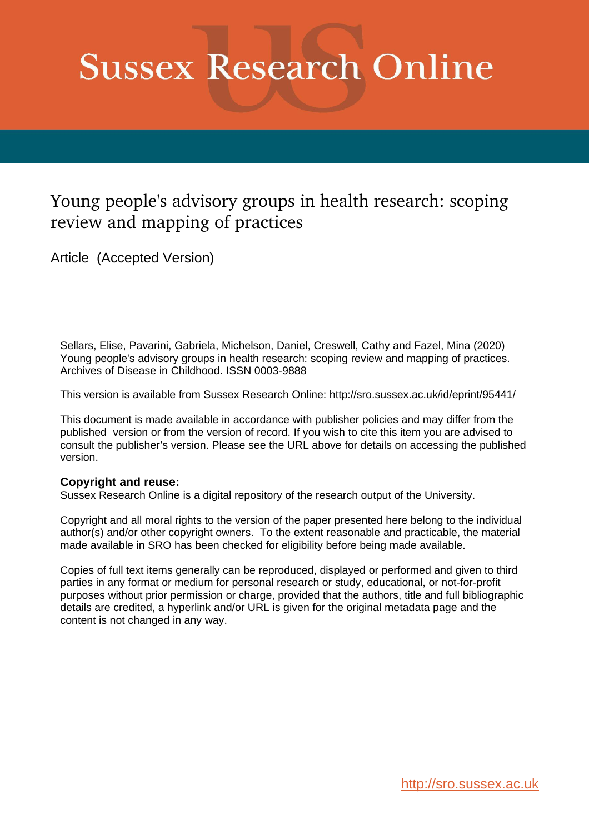# **Sussex Research Online**

# Young people's advisory groups in health research: scoping review and mapping of practices

Article (Accepted Version)

Sellars, Elise, Pavarini, Gabriela, Michelson, Daniel, Creswell, Cathy and Fazel, Mina (2020) Young people's advisory groups in health research: scoping review and mapping of practices. Archives of Disease in Childhood. ISSN 0003-9888

This version is available from Sussex Research Online: http://sro.sussex.ac.uk/id/eprint/95441/

This document is made available in accordance with publisher policies and may differ from the published version or from the version of record. If you wish to cite this item you are advised to consult the publisher's version. Please see the URL above for details on accessing the published version.

# **Copyright and reuse:**

Sussex Research Online is a digital repository of the research output of the University.

Copyright and all moral rights to the version of the paper presented here belong to the individual author(s) and/or other copyright owners. To the extent reasonable and practicable, the material made available in SRO has been checked for eligibility before being made available.

Copies of full text items generally can be reproduced, displayed or performed and given to third parties in any format or medium for personal research or study, educational, or not-for-profit purposes without prior permission or charge, provided that the authors, title and full bibliographic details are credited, a hyperlink and/or URL is given for the original metadata page and the content is not changed in any way.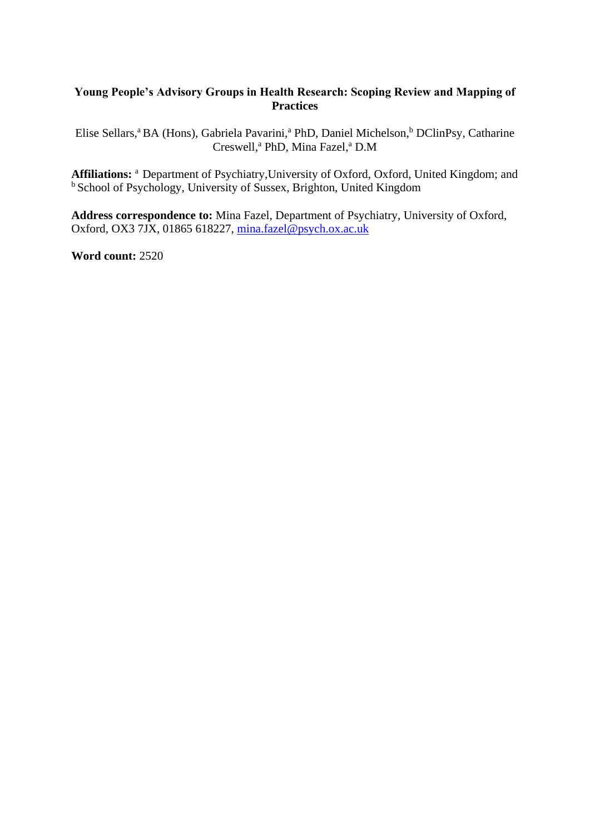# **Young People's Advisory Groups in Health Research: Scoping Review and Mapping of Practices**

Elise Sellars,<sup>a</sup> BA (Hons), Gabriela Pavarini,<sup>a</sup> PhD, Daniel Michelson,<sup>b</sup> DClinPsy, Catharine Creswell, <sup>a</sup> PhD, Mina Fazel, <sup>a</sup> D.M

Affiliations: <sup>a</sup> Department of Psychiatry, University of Oxford, Oxford, United Kingdom; and <sup>b</sup> School of Psychology, University of Sussex, Brighton, United Kingdom

**Address correspondence to:** Mina Fazel, Department of Psychiatry, University of Oxford, Oxford, OX3 7JX, 01865 618227, [mina.fazel@psych.ox.ac.uk](mailto:mina.fazel@psych.ox.ac.uk)

**Word count:** 2520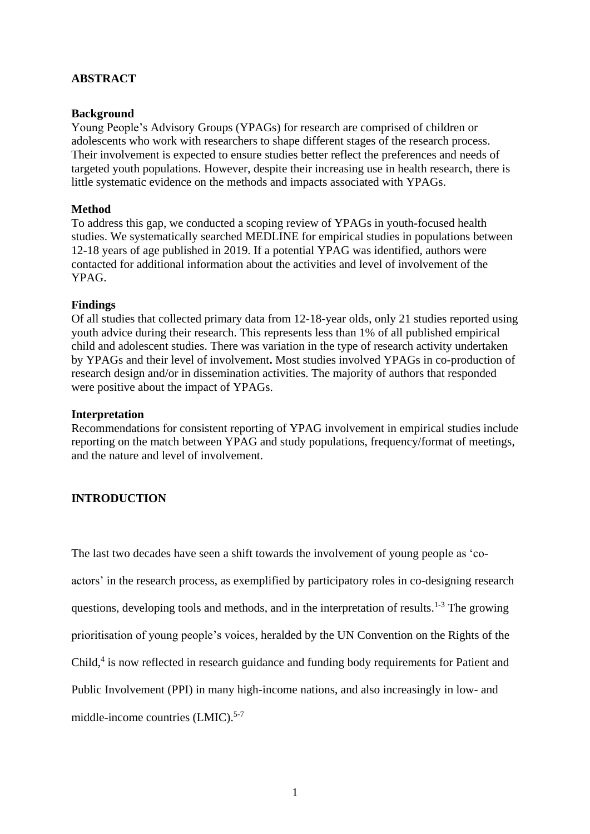# **ABSTRACT**

### **Background**

Young People's Advisory Groups (YPAGs) for research are comprised of children or adolescents who work with researchers to shape different stages of the research process. Their involvement is expected to ensure studies better reflect the preferences and needs of targeted youth populations. However, despite their increasing use in health research, there is little systematic evidence on the methods and impacts associated with YPAGs.

#### **Method**

To address this gap, we conducted a scoping review of YPAGs in youth-focused health studies. We systematically searched MEDLINE for empirical studies in populations between 12-18 years of age published in 2019. If a potential YPAG was identified, authors were contacted for additional information about the activities and level of involvement of the YPAG.

#### **Findings**

Of all studies that collected primary data from 12-18-year olds, only 21 studies reported using youth advice during their research. This represents less than 1% of all published empirical child and adolescent studies. There was variation in the type of research activity undertaken by YPAGs and their level of involvement**.** Most studies involved YPAGs in co-production of research design and/or in dissemination activities. The majority of authors that responded were positive about the impact of YPAGs.

#### **Interpretation**

Recommendations for consistent reporting of YPAG involvement in empirical studies include reporting on the match between YPAG and study populations, frequency/format of meetings, and the nature and level of involvement.

# **INTRODUCTION**

The last two decades have seen a shift towards the involvement of young people as 'coactors' in the research process, as exemplified by participatory roles in co-designing research questions, developing tools and methods, and in the interpretation of results.<sup>1-3</sup> The growing prioritisation of young people's voices, heralded by the UN Convention on the Rights of the Child,<sup>4</sup> is now reflected in research guidance and funding body requirements for Patient and Public Involvement (PPI) in many high-income nations, and also increasingly in low- and middle-income countries (LMIC). 5-7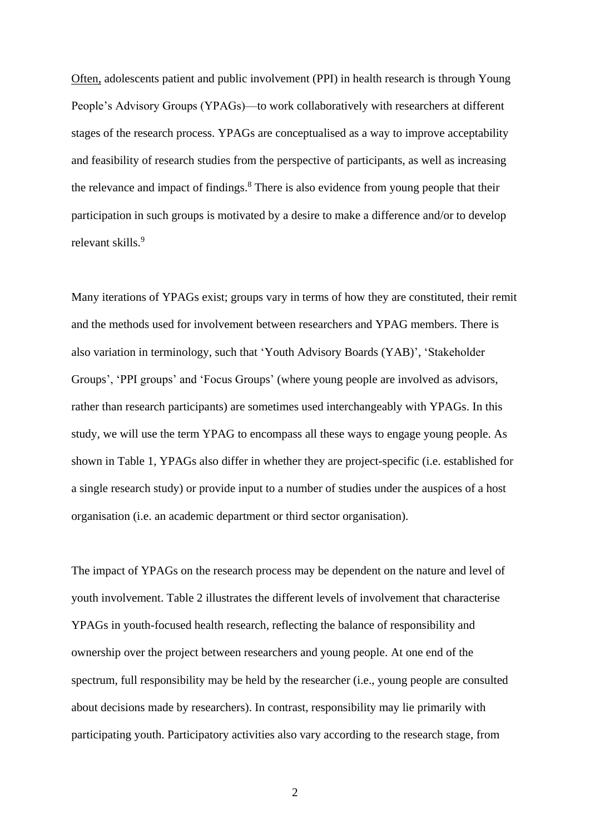Often, adolescents patient and public involvement (PPI) in health research is through Young People's Advisory Groups (YPAGs)—to work collaboratively with researchers at different stages of the research process. YPAGs are conceptualised as a way to improve acceptability and feasibility of research studies from the perspective of participants, as well as increasing the relevance and impact of findings. <sup>8</sup> There is also evidence from young people that their participation in such groups is motivated by a desire to make a difference and/or to develop relevant skills.<sup>9</sup>

Many iterations of YPAGs exist; groups vary in terms of how they are constituted, their remit and the methods used for involvement between researchers and YPAG members. There is also variation in terminology, such that 'Youth Advisory Boards (YAB)', 'Stakeholder Groups', 'PPI groups' and 'Focus Groups' (where young people are involved as advisors, rather than research participants) are sometimes used interchangeably with YPAGs. In this study, we will use the term YPAG to encompass all these ways to engage young people. As shown in Table 1, YPAGs also differ in whether they are project-specific (i.e. established for a single research study) or provide input to a number of studies under the auspices of a host organisation (i.e. an academic department or third sector organisation).

The impact of YPAGs on the research process may be dependent on the nature and level of youth involvement. Table 2 illustrates the different levels of involvement that characterise YPAGs in youth-focused health research, reflecting the balance of responsibility and ownership over the project between researchers and young people. At one end of the spectrum, full responsibility may be held by the researcher (i.e., young people are consulted about decisions made by researchers). In contrast, responsibility may lie primarily with participating youth. Participatory activities also vary according to the research stage, from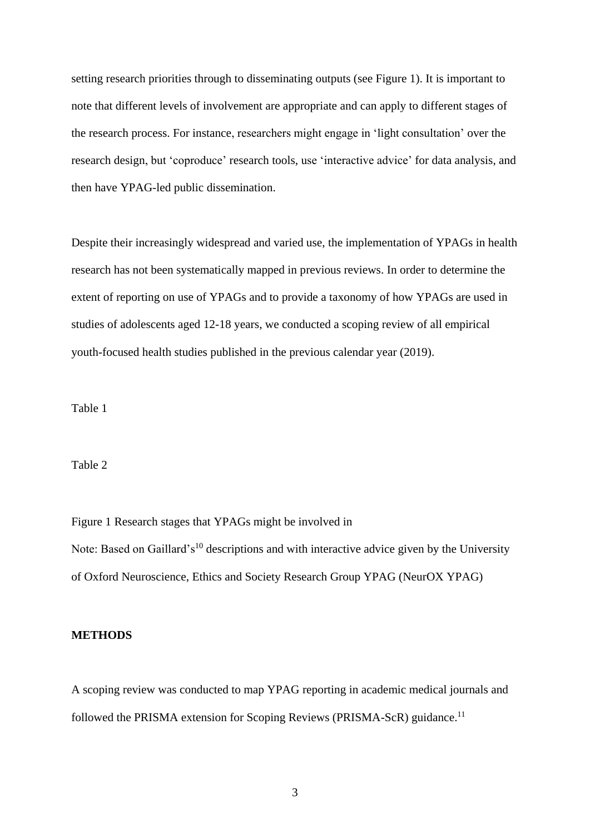setting research priorities through to disseminating outputs (see Figure 1). It is important to note that different levels of involvement are appropriate and can apply to different stages of the research process. For instance, researchers might engage in 'light consultation' over the research design, but 'coproduce' research tools, use 'interactive advice' for data analysis, and then have YPAG-led public dissemination.

Despite their increasingly widespread and varied use, the implementation of YPAGs in health research has not been systematically mapped in previous reviews. In order to determine the extent of reporting on use of YPAGs and to provide a taxonomy of how YPAGs are used in studies of adolescents aged 12-18 years, we conducted a scoping review of all empirical youth-focused health studies published in the previous calendar year (2019).

Table 1

Table 2

Figure 1 Research stages that YPAGs might be involved in Note: Based on Gaillard's<sup>10</sup> descriptions and with interactive advice given by the University of Oxford Neuroscience, Ethics and Society Research Group YPAG (NeurOX YPAG)

# **METHODS**

A scoping review was conducted to map YPAG reporting in academic medical journals and followed the PRISMA extension for Scoping Reviews (PRISMA-ScR) guidance.<sup>11</sup>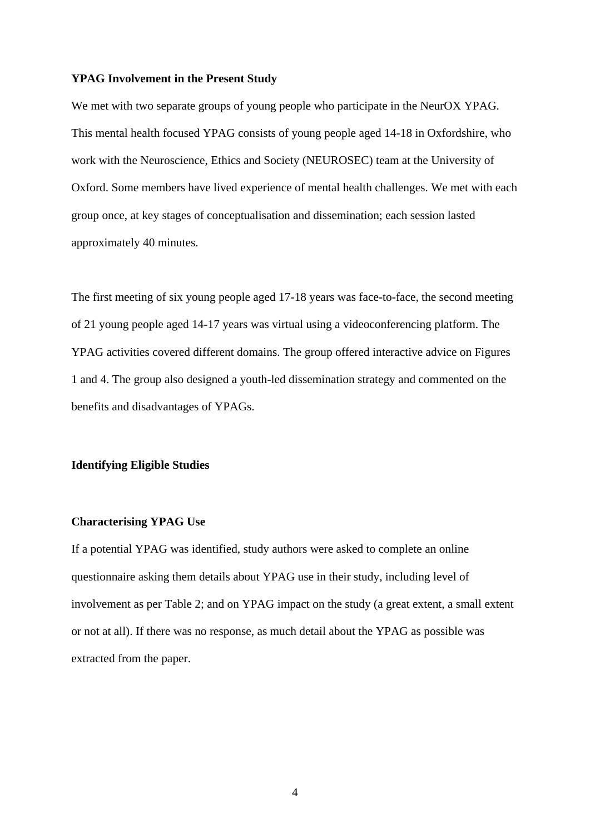#### **YPAG Involvement in the Present Study**

We met with two separate groups of young people who participate in the NeurOX YPAG. This mental health focused YPAG consists of young people aged 14-18 in Oxfordshire, who work with the Neuroscience, Ethics and Society (NEUROSEC) team at the University of Oxford. Some members have lived experience of mental health challenges. We met with each group once, at key stages of conceptualisation and dissemination; each session lasted approximately 40 minutes.

The first meeting of six young people aged 17-18 years was face-to-face, the second meeting of 21 young people aged 14-17 years was virtual using a videoconferencing platform. The YPAG activities covered different domains. The group offered interactive advice on Figures 1 and 4. The group also designed a youth-led dissemination strategy and commented on the benefits and disadvantages of YPAGs.

#### **Identifying Eligible Studies**

#### **Characterising YPAG Use**

If a potential YPAG was identified, study authors were asked to complete an online questionnaire asking them details about YPAG use in their study, including level of involvement as per Table 2; and on YPAG impact on the study (a great extent, a small extent or not at all). If there was no response, as much detail about the YPAG as possible was extracted from the paper.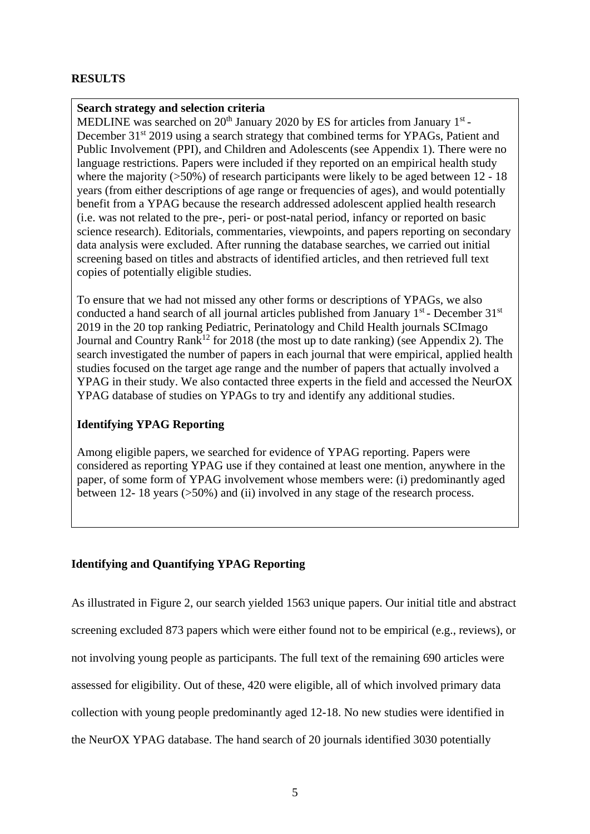# **RESULTS**

# **Search strategy and selection criteria**

MEDLINE was searched on  $20<sup>th</sup>$  January 2020 by ES for articles from January 1<sup>st</sup>-December 31<sup>st</sup> 2019 using a search strategy that combined terms for YPAGs, Patient and Public Involvement (PPI), and Children and Adolescents (see Appendix 1). There were no language restrictions. Papers were included if they reported on an empirical health study where the majority  $(50\%)$  of research participants were likely to be aged between 12 - 18 years (from either descriptions of age range or frequencies of ages), and would potentially benefit from a YPAG because the research addressed adolescent applied health research (i.e. was not related to the pre-, peri- or post-natal period, infancy or reported on basic science research). Editorials, commentaries, viewpoints, and papers reporting on secondary data analysis were excluded. After running the database searches, we carried out initial screening based on titles and abstracts of identified articles, and then retrieved full text copies of potentially eligible studies.

To ensure that we had not missed any other forms or descriptions of YPAGs, we also conducted a hand search of all journal articles published from January 1<sup>st</sup> - December 31<sup>st</sup> 2019 in the 20 top ranking Pediatric, Perinatology and Child Health journals SCImago Journal and Country Rank<sup>12</sup> for 2018 (the most up to date ranking) (see Appendix 2). The search investigated the number of papers in each journal that were empirical, applied health studies focused on the target age range and the number of papers that actually involved a YPAG in their study. We also contacted three experts in the field and accessed the NeurOX YPAG database of studies on YPAGs to try and identify any additional studies.

# **Identifying YPAG Reporting**

Among eligible papers, we searched for evidence of YPAG reporting. Papers were considered as reporting YPAG use if they contained at least one mention, anywhere in the paper, of some form of YPAG involvement whose members were: (i) predominantly aged between 12- 18 years (>50%) and (ii) involved in any stage of the research process.

# **Identifying and Quantifying YPAG Reporting**

As illustrated in Figure 2, our search yielded 1563 unique papers. Our initial title and abstract screening excluded 873 papers which were either found not to be empirical (e.g., reviews), or not involving young people as participants. The full text of the remaining 690 articles were assessed for eligibility. Out of these, 420 were eligible, all of which involved primary data collection with young people predominantly aged 12-18. No new studies were identified in the NeurOX YPAG database. The hand search of 20 journals identified 3030 potentially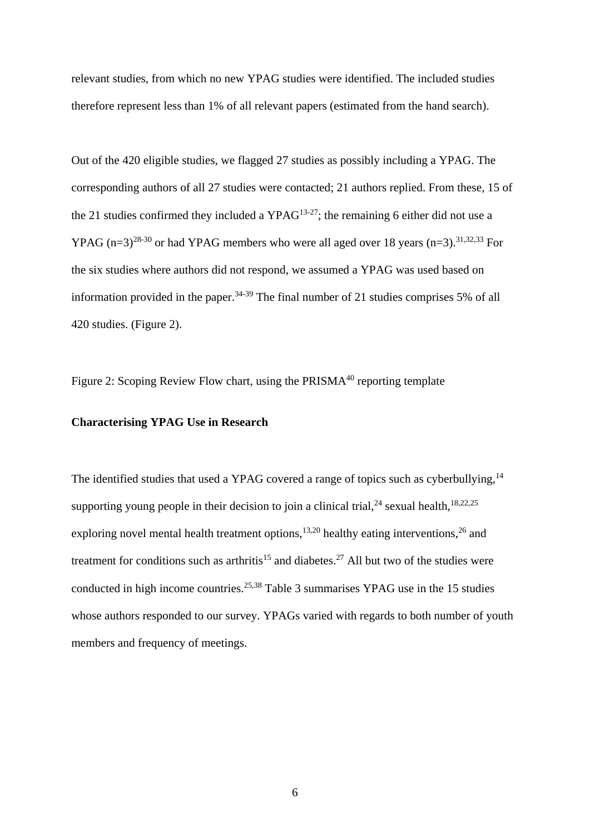relevant studies, from which no new YPAG studies were identified. The included studies therefore represent less than 1% of all relevant papers (estimated from the hand search).

Out of the 420 eligible studies, we flagged 27 studies as possibly including a YPAG. The corresponding authors of all 27 studies were contacted; 21 authors replied. From these, 15 of the 21 studies confirmed they included a  $YPAG^{13-27}$ ; the remaining 6 either did not use a YPAG  $(n=3)^{28\cdot30}$  or had YPAG members who were all aged over 18 years  $(n=3)$ .<sup>31,32,33</sup> For the six studies where authors did not respond, we assumed a YPAG was used based on information provided in the paper.<sup>34-39</sup> The final number of 21 studies comprises 5% of all 420 studies. (Figure 2).

Figure 2: Scoping Review Flow chart, using the PRISMA<sup>40</sup> reporting template

#### **Characterising YPAG Use in Research**

The identified studies that used a YPAG covered a range of topics such as cyberbullying,<sup>14</sup> supporting young people in their decision to join a clinical trial,  $24$  sexual health,  $18,22,25$ exploring novel mental health treatment options,  $13,20$  healthy eating interventions,  $26$  and treatment for conditions such as arthritis<sup>15</sup> and diabetes.<sup>27</sup> All but two of the studies were conducted in high income countries.<sup>25,38</sup> Table 3 summarises YPAG use in the 15 studies whose authors responded to our survey. YPAGs varied with regards to both number of youth members and frequency of meetings.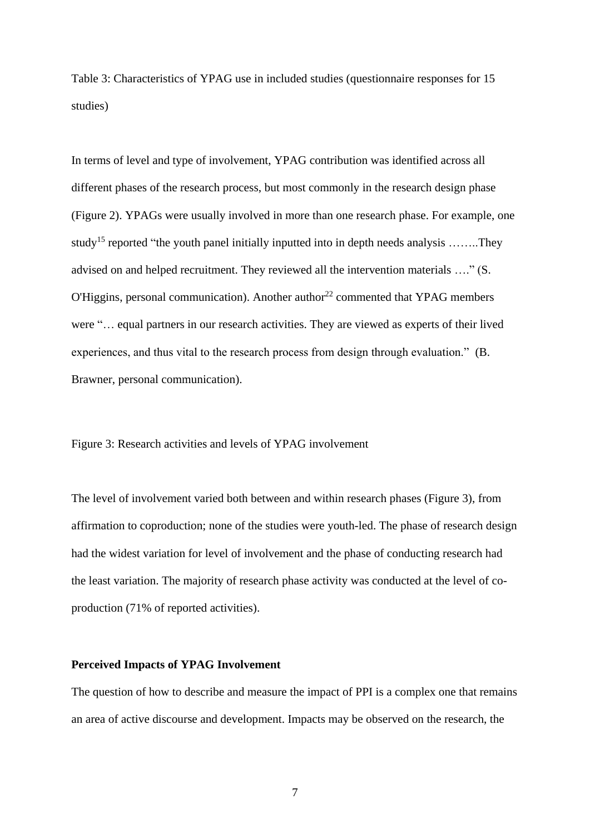Table 3: Characteristics of YPAG use in included studies (questionnaire responses for 15 studies)

In terms of level and type of involvement, YPAG contribution was identified across all different phases of the research process, but most commonly in the research design phase (Figure 2). YPAGs were usually involved in more than one research phase. For example, one study<sup>15</sup> reported "the youth panel initially inputted into in depth needs analysis ........They advised on and helped recruitment. They reviewed all the intervention materials …." (S.  $O'Higgsins$ , personal communication). Another author<sup>22</sup> commented that YPAG members were "… equal partners in our research activities. They are viewed as experts of their lived experiences, and thus vital to the research process from design through evaluation." (B. Brawner, personal communication).

#### Figure 3: Research activities and levels of YPAG involvement

The level of involvement varied both between and within research phases (Figure 3), from affirmation to coproduction; none of the studies were youth-led. The phase of research design had the widest variation for level of involvement and the phase of conducting research had the least variation. The majority of research phase activity was conducted at the level of coproduction (71% of reported activities).

#### **Perceived Impacts of YPAG Involvement**

The question of how to describe and measure the impact of PPI is a complex one that remains an area of active discourse and development. Impacts may be observed on the research, the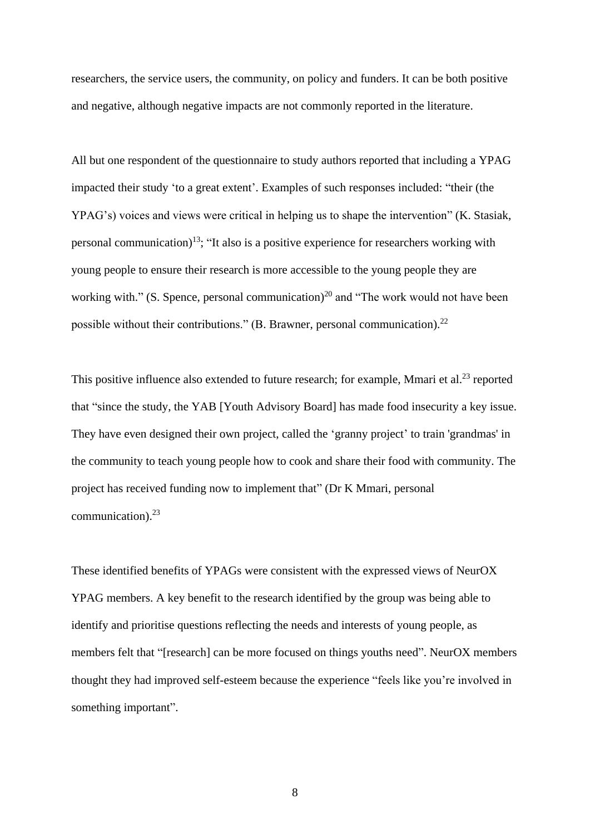researchers, the service users, the community, on policy and funders. It can be both positive and negative, although negative impacts are not commonly reported in the literature.

All but one respondent of the questionnaire to study authors reported that including a YPAG impacted their study 'to a great extent'. Examples of such responses included: "their (the YPAG's) voices and views were critical in helping us to shape the intervention" (K. Stasiak, personal communication)<sup>13</sup>; "It also is a positive experience for researchers working with young people to ensure their research is more accessible to the young people they are working with." (S. Spence, personal communication)<sup>20</sup> and "The work would not have been possible without their contributions." (B. Brawner, personal communication).<sup>22</sup>

This positive influence also extended to future research; for example, Mmari et al.<sup>23</sup> reported that "since the study, the YAB [Youth Advisory Board] has made food insecurity a key issue. They have even designed their own project, called the 'granny project' to train 'grandmas' in the community to teach young people how to cook and share their food with community. The project has received funding now to implement that" (Dr K Mmari, personal communication). 23

These identified benefits of YPAGs were consistent with the expressed views of NeurOX YPAG members. A key benefit to the research identified by the group was being able to identify and prioritise questions reflecting the needs and interests of young people, as members felt that "[research] can be more focused on things youths need". NeurOX members thought they had improved self-esteem because the experience "feels like you're involved in something important".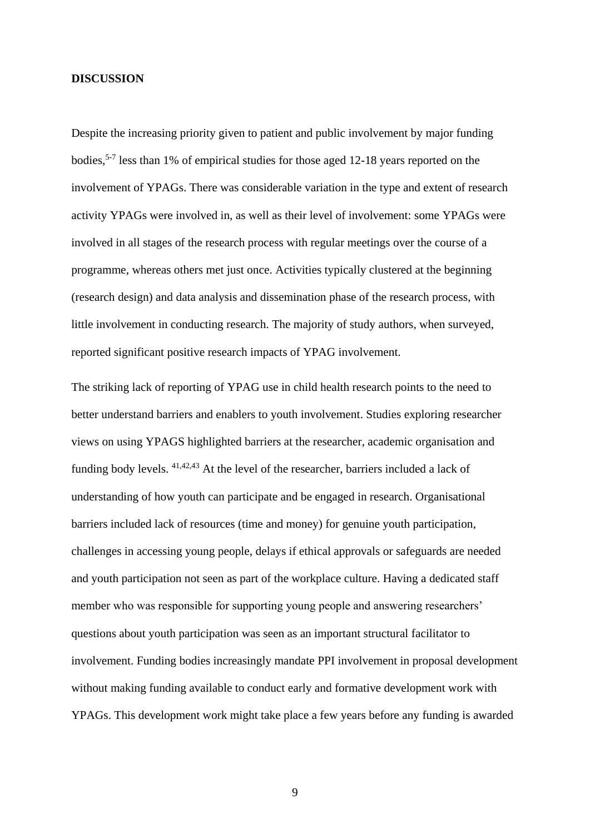#### **DISCUSSION**

Despite the increasing priority given to patient and public involvement by major funding bodies,<sup>5-7</sup> less than 1% of empirical studies for those aged 12-18 years reported on the involvement of YPAGs. There was considerable variation in the type and extent of research activity YPAGs were involved in, as well as their level of involvement: some YPAGs were involved in all stages of the research process with regular meetings over the course of a programme, whereas others met just once. Activities typically clustered at the beginning (research design) and data analysis and dissemination phase of the research process, with little involvement in conducting research. The majority of study authors, when surveyed, reported significant positive research impacts of YPAG involvement.

The striking lack of reporting of YPAG use in child health research points to the need to better understand barriers and enablers to youth involvement. Studies exploring researcher views on using YPAGS highlighted barriers at the researcher, academic organisation and funding body levels. 41,42,43 At the level of the researcher, barriers included a lack of understanding of how youth can participate and be engaged in research. Organisational barriers included lack of resources (time and money) for genuine youth participation, challenges in accessing young people, delays if ethical approvals or safeguards are needed and youth participation not seen as part of the workplace culture. Having a dedicated staff member who was responsible for supporting young people and answering researchers' questions about youth participation was seen as an important structural facilitator to involvement. Funding bodies increasingly mandate PPI involvement in proposal development without making funding available to conduct early and formative development work with YPAGs. This development work might take place a few years before any funding is awarded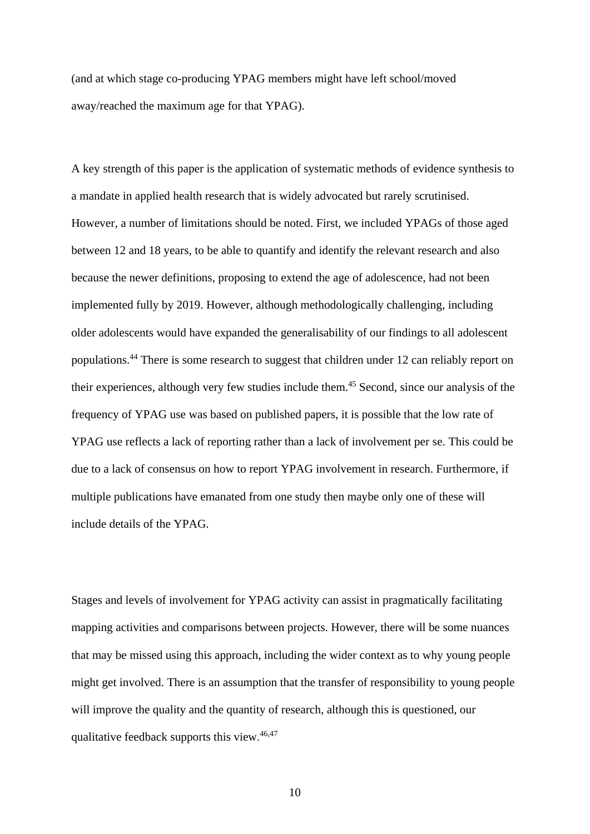(and at which stage co-producing YPAG members might have left school/moved away/reached the maximum age for that YPAG).

A key strength of this paper is the application of systematic methods of evidence synthesis to a mandate in applied health research that is widely advocated but rarely scrutinised. However, a number of limitations should be noted. First, we included YPAGs of those aged between 12 and 18 years, to be able to quantify and identify the relevant research and also because the newer definitions, proposing to extend the age of adolescence, had not been implemented fully by 2019. However, although methodologically challenging, including older adolescents would have expanded the generalisability of our findings to all adolescent populations. <sup>44</sup> There is some research to suggest that children under 12 can reliably report on their experiences, although very few studies include them. <sup>45</sup> Second, since our analysis of the frequency of YPAG use was based on published papers, it is possible that the low rate of YPAG use reflects a lack of reporting rather than a lack of involvement per se. This could be due to a lack of consensus on how to report YPAG involvement in research. Furthermore, if multiple publications have emanated from one study then maybe only one of these will include details of the YPAG.

Stages and levels of involvement for YPAG activity can assist in pragmatically facilitating mapping activities and comparisons between projects. However, there will be some nuances that may be missed using this approach, including the wider context as to why young people might get involved. There is an assumption that the transfer of responsibility to young people will improve the quality and the quantity of research, although this is questioned, our qualitative feedback supports this view.<sup>46,47</sup>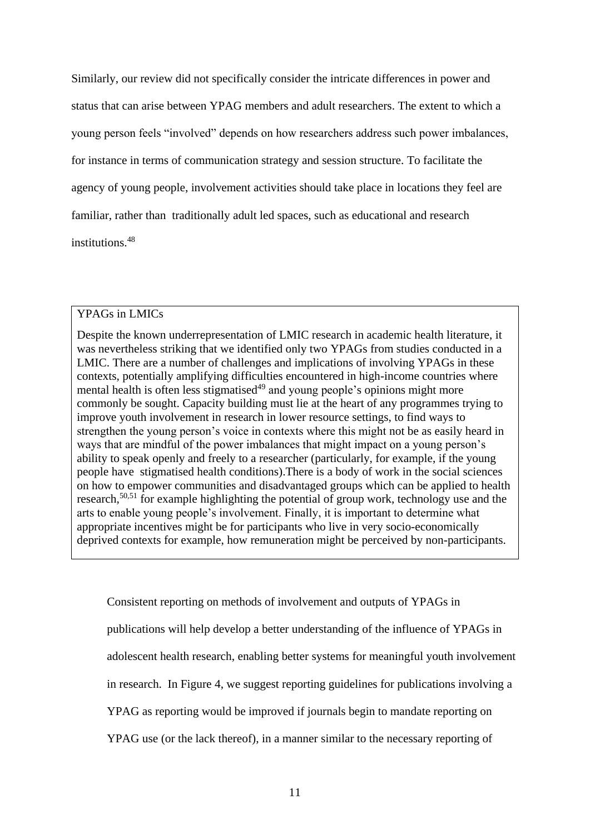Similarly, our review did not specifically consider the intricate differences in power and status that can arise between YPAG members and adult researchers. The extent to which a young person feels "involved" depends on how researchers address such power imbalances, for instance in terms of communication strategy and session structure. To facilitate the agency of young people, involvement activities should take place in locations they feel are familiar, rather than traditionally adult led spaces, such as educational and research institutions. 48

#### YPAGs in LMICs

Despite the known underrepresentation of LMIC research in academic health literature, it was nevertheless striking that we identified only two YPAGs from studies conducted in a LMIC. There are a number of challenges and implications of involving YPAGs in these contexts, potentially amplifying difficulties encountered in high-income countries where mental health is often less stigmatised<sup>49</sup> and young people's opinions might more commonly be sought. Capacity building must lie at the heart of any programmes trying to improve youth involvement in research in lower resource settings, to find ways to strengthen the young person's voice in contexts where this might not be as easily heard in ways that are mindful of the power imbalances that might impact on a young person's ability to speak openly and freely to a researcher (particularly, for example, if the young people have stigmatised health conditions).There is a body of work in the social sciences on how to empower communities and disadvantaged groups which can be applied to health research,<sup>50,51</sup> for example highlighting the potential of group work, technology use and the arts to enable young people's involvement. Finally, it is important to determine what appropriate incentives might be for participants who live in very socio-economically deprived contexts for example, how remuneration might be perceived by non-participants.

Consistent reporting on methods of involvement and outputs of YPAGs in publications will help develop a better understanding of the influence of YPAGs in adolescent health research, enabling better systems for meaningful youth involvement in research. In Figure 4, we suggest reporting guidelines for publications involving a YPAG as reporting would be improved if journals begin to mandate reporting on YPAG use (or the lack thereof), in a manner similar to the necessary reporting of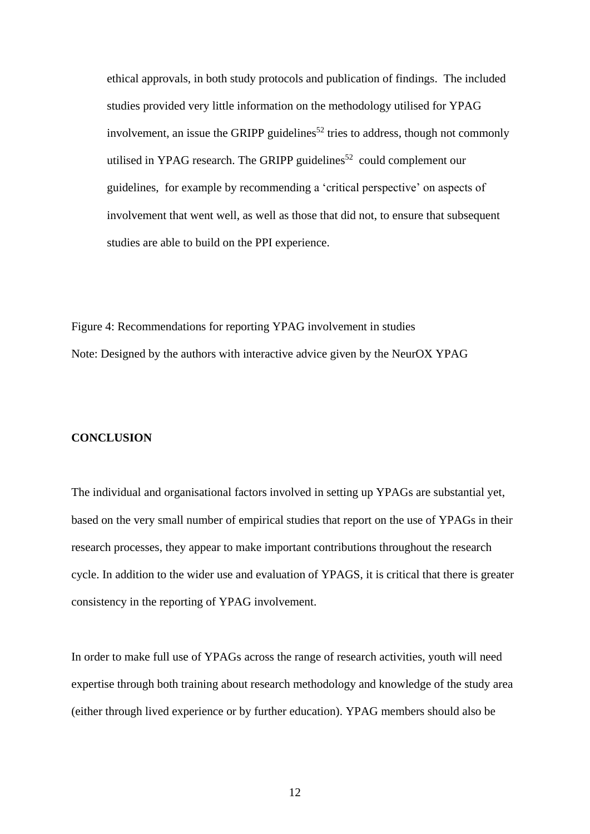ethical approvals, in both study protocols and publication of findings. The included studies provided very little information on the methodology utilised for YPAG involvement, an issue the GRIPP guidelines<sup>52</sup> tries to address, though not commonly utilised in YPAG research. The GRIPP guidelines<sup>52</sup> could complement our guidelines, for example by recommending a 'critical perspective' on aspects of involvement that went well, as well as those that did not, to ensure that subsequent studies are able to build on the PPI experience.

Figure 4: Recommendations for reporting YPAG involvement in studies Note: Designed by the authors with interactive advice given by the NeurOX YPAG

#### **CONCLUSION**

The individual and organisational factors involved in setting up YPAGs are substantial yet, based on the very small number of empirical studies that report on the use of YPAGs in their research processes, they appear to make important contributions throughout the research cycle. In addition to the wider use and evaluation of YPAGS, it is critical that there is greater consistency in the reporting of YPAG involvement.

In order to make full use of YPAGs across the range of research activities, youth will need expertise through both training about research methodology and knowledge of the study area (either through lived experience or by further education). YPAG members should also be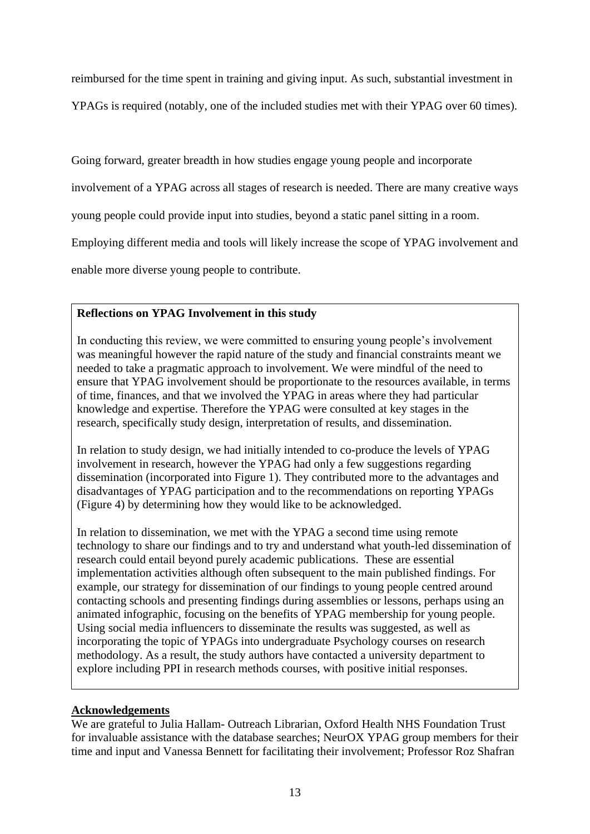reimbursed for the time spent in training and giving input. As such, substantial investment in

YPAGs is required (notably, one of the included studies met with their YPAG over 60 times).

Going forward, greater breadth in how studies engage young people and incorporate

involvement of a YPAG across all stages of research is needed. There are many creative ways

young people could provide input into studies, beyond a static panel sitting in a room.

Employing different media and tools will likely increase the scope of YPAG involvement and

enable more diverse young people to contribute.

# **Reflections on YPAG Involvement in this study**

In conducting this review, we were committed to ensuring young people's involvement was meaningful however the rapid nature of the study and financial constraints meant we needed to take a pragmatic approach to involvement. We were mindful of the need to ensure that YPAG involvement should be proportionate to the resources available, in terms of time, finances, and that we involved the YPAG in areas where they had particular knowledge and expertise. Therefore the YPAG were consulted at key stages in the research, specifically study design, interpretation of results, and dissemination.

In relation to study design, we had initially intended to co-produce the levels of YPAG involvement in research, however the YPAG had only a few suggestions regarding dissemination (incorporated into Figure 1). They contributed more to the advantages and disadvantages of YPAG participation and to the recommendations on reporting YPAGs (Figure 4) by determining how they would like to be acknowledged.

In relation to dissemination, we met with the YPAG a second time using remote technology to share our findings and to try and understand what youth-led dissemination of research could entail beyond purely academic publications. These are essential implementation activities although often subsequent to the main published findings. For example, our strategy for dissemination of our findings to young people centred around contacting schools and presenting findings during assemblies or lessons, perhaps using an animated infographic, focusing on the benefits of YPAG membership for young people. Using social media influencers to disseminate the results was suggested, as well as incorporating the topic of YPAGs into undergraduate Psychology courses on research methodology. As a result, the study authors have contacted a university department to explore including PPI in research methods courses, with positive initial responses.

# **Acknowledgements**

We are grateful to Julia Hallam- Outreach Librarian, Oxford Health NHS Foundation Trust for invaluable assistance with the database searches; NeurOX YPAG group members for their time and input and Vanessa Bennett for facilitating their involvement; Professor Roz Shafran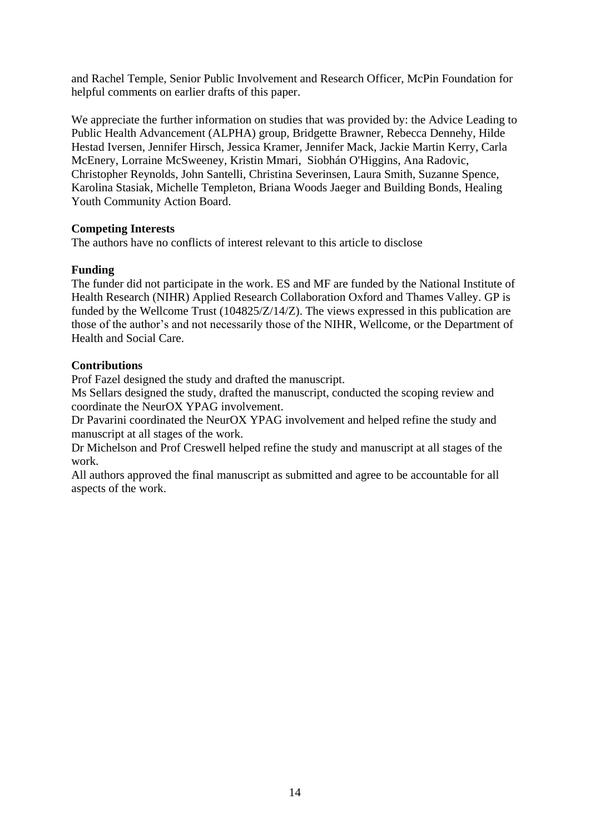and Rachel Temple, Senior Public Involvement and Research Officer, McPin Foundation for helpful comments on earlier drafts of this paper.

We appreciate the further information on studies that was provided by: the Advice Leading to Public Health Advancement (ALPHA) group, Bridgette Brawner, Rebecca Dennehy, Hilde Hestad Iversen, Jennifer Hirsch, Jessica Kramer, Jennifer Mack, Jackie Martin Kerry, Carla McEnery, Lorraine McSweeney, Kristin Mmari, Siobhán O'Higgins, Ana Radovic, Christopher Reynolds, John Santelli, Christina Severinsen, Laura Smith, Suzanne Spence, Karolina Stasiak, Michelle Templeton, Briana Woods Jaeger and Building Bonds, Healing Youth Community Action Board.

# **Competing Interests**

The authors have no conflicts of interest relevant to this article to disclose

# **Funding**

The funder did not participate in the work. ES and MF are funded by the National Institute of Health Research (NIHR) Applied Research Collaboration Oxford and Thames Valley. GP is funded by the Wellcome Trust (104825/Z/14/Z). The views expressed in this publication are those of the author's and not necessarily those of the NIHR, Wellcome, or the Department of Health and Social Care.

# **Contributions**

Prof Fazel designed the study and drafted the manuscript.

Ms Sellars designed the study, drafted the manuscript, conducted the scoping review and coordinate the NeurOX YPAG involvement.

Dr Pavarini coordinated the NeurOX YPAG involvement and helped refine the study and manuscript at all stages of the work.

Dr Michelson and Prof Creswell helped refine the study and manuscript at all stages of the work.

All authors approved the final manuscript as submitted and agree to be accountable for all aspects of the work.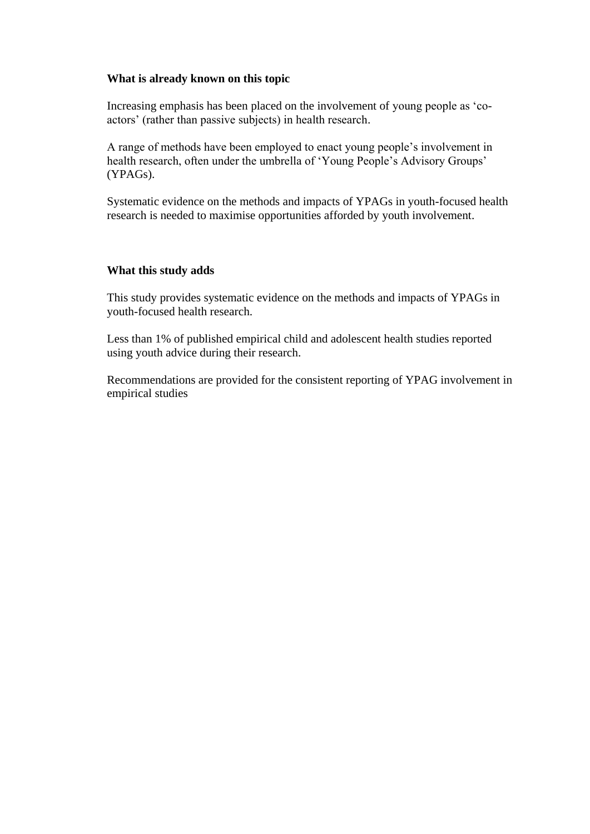# **What is already known on this topic**

Increasing emphasis has been placed on the involvement of young people as 'coactors' (rather than passive subjects) in health research.

A range of methods have been employed to enact young people's involvement in health research, often under the umbrella of 'Young People's Advisory Groups' (YPAGs).

Systematic evidence on the methods and impacts of YPAGs in youth-focused health research is needed to maximise opportunities afforded by youth involvement.

#### **What this study adds**

This study provides systematic evidence on the methods and impacts of YPAGs in youth-focused health research.

Less than 1% of published empirical child and adolescent health studies reported using youth advice during their research.

Recommendations are provided for the consistent reporting of YPAG involvement in empirical studies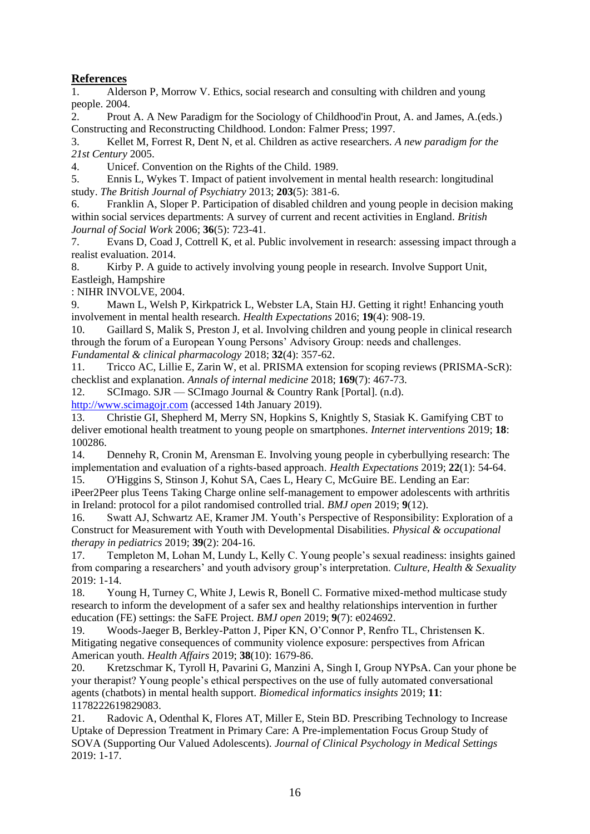# **References**

1. Alderson P, Morrow V. Ethics, social research and consulting with children and young people. 2004.

2. Prout A. A New Paradigm for the Sociology of Childhood'in Prout, A. and James, A.(eds.) Constructing and Reconstructing Childhood. London: Falmer Press; 1997.

3. Kellet M, Forrest R, Dent N, et al. Children as active researchers. *A new paradigm for the 21st Century* 2005.

4. Unicef. Convention on the Rights of the Child. 1989.

5. Ennis L, Wykes T. Impact of patient involvement in mental health research: longitudinal study. *The British Journal of Psychiatry* 2013; **203**(5): 381-6.

6. Franklin A, Sloper P. Participation of disabled children and young people in decision making within social services departments: A survey of current and recent activities in England. *British Journal of Social Work* 2006; **36**(5): 723-41.

7. Evans D, Coad J, Cottrell K, et al. Public involvement in research: assessing impact through a realist evaluation. 2014.

8. Kirby P. A guide to actively involving young people in research. Involve Support Unit, Eastleigh, Hampshire

: NIHR INVOLVE, 2004.

9. Mawn L, Welsh P, Kirkpatrick L, Webster LA, Stain HJ. Getting it right! Enhancing youth involvement in mental health research. *Health Expectations* 2016; **19**(4): 908-19.

10. Gaillard S, Malik S, Preston J, et al. Involving children and young people in clinical research through the forum of a European Young Persons' Advisory Group: needs and challenges. *Fundamental & clinical pharmacology* 2018; **32**(4): 357-62.

11. Tricco AC, Lillie E, Zarin W, et al. PRISMA extension for scoping reviews (PRISMA-ScR): checklist and explanation. *Annals of internal medicine* 2018; **169**(7): 467-73.

12. SCImago. SJR — SCImago Journal & Country Rank [Portal]. (n.d). [http://www.scimagojr.com](http://www.scimagojr.com/) (accessed 14th January 2019).

13. Christie GI, Shepherd M, Merry SN, Hopkins S, Knightly S, Stasiak K. Gamifying CBT to deliver emotional health treatment to young people on smartphones. *Internet interventions* 2019; **18**: 100286.

14. Dennehy R, Cronin M, Arensman E. Involving young people in cyberbullying research: The implementation and evaluation of a rights‐based approach. *Health Expectations* 2019; **22**(1): 54-64.

15. O'Higgins S, Stinson J, Kohut SA, Caes L, Heary C, McGuire BE. Lending an Ear: iPeer2Peer plus Teens Taking Charge online self-management to empower adolescents with arthritis in Ireland: protocol for a pilot randomised controlled trial. *BMJ open* 2019; **9**(12).

16. Swatt AJ, Schwartz AE, Kramer JM. Youth's Perspective of Responsibility: Exploration of a Construct for Measurement with Youth with Developmental Disabilities. *Physical & occupational therapy in pediatrics* 2019; **39**(2): 204-16.

17. Templeton M, Lohan M, Lundy L, Kelly C. Young people's sexual readiness: insights gained from comparing a researchers' and youth advisory group's interpretation. *Culture, Health & Sexuality* 2019: 1-14.

18. Young H, Turney C, White J, Lewis R, Bonell C. Formative mixed-method multicase study research to inform the development of a safer sex and healthy relationships intervention in further education (FE) settings: the SaFE Project. *BMJ open* 2019; **9**(7): e024692.

19. Woods-Jaeger B, Berkley-Patton J, Piper KN, O'Connor P, Renfro TL, Christensen K. Mitigating negative consequences of community violence exposure: perspectives from African American youth. *Health Affairs* 2019; **38**(10): 1679-86.

20. Kretzschmar K, Tyroll H, Pavarini G, Manzini A, Singh I, Group NYPsA. Can your phone be your therapist? Young people's ethical perspectives on the use of fully automated conversational agents (chatbots) in mental health support. *Biomedical informatics insights* 2019; **11**: 1178222619829083.

21. Radovic A, Odenthal K, Flores AT, Miller E, Stein BD. Prescribing Technology to Increase Uptake of Depression Treatment in Primary Care: A Pre-implementation Focus Group Study of SOVA (Supporting Our Valued Adolescents). *Journal of Clinical Psychology in Medical Settings* 2019: 1-17.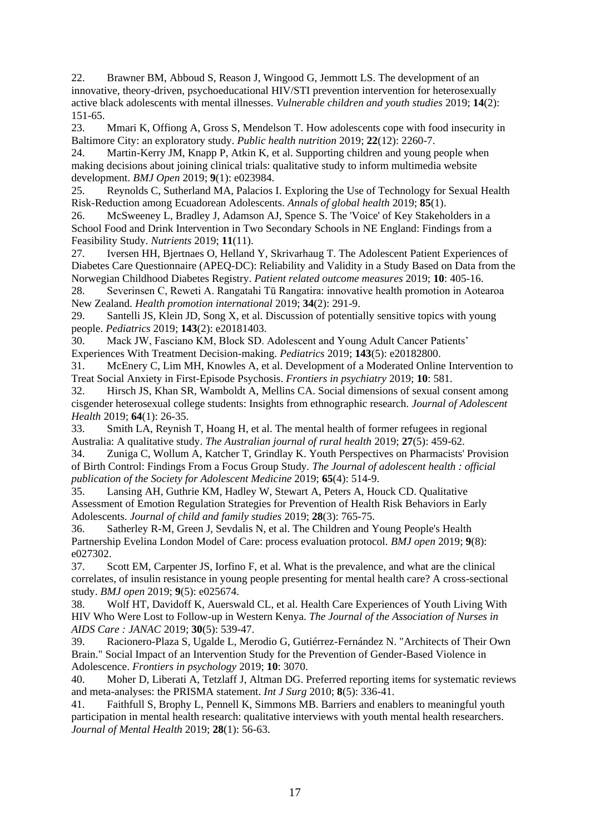22. Brawner BM, Abboud S, Reason J, Wingood G, Jemmott LS. The development of an innovative, theory-driven, psychoeducational HIV/STI prevention intervention for heterosexually active black adolescents with mental illnesses. *Vulnerable children and youth studies* 2019; **14**(2): 151-65.

23. Mmari K, Offiong A, Gross S, Mendelson T. How adolescents cope with food insecurity in Baltimore City: an exploratory study. *Public health nutrition* 2019; **22**(12): 2260-7.

24. Martin-Kerry JM, Knapp P, Atkin K, et al. Supporting children and young people when making decisions about joining clinical trials: qualitative study to inform multimedia website development. *BMJ Open* 2019; **9**(1): e023984.

25. Reynolds C, Sutherland MA, Palacios I. Exploring the Use of Technology for Sexual Health Risk-Reduction among Ecuadorean Adolescents. *Annals of global health* 2019; **85**(1).

26. McSweeney L, Bradley J, Adamson AJ, Spence S. The 'Voice' of Key Stakeholders in a School Food and Drink Intervention in Two Secondary Schools in NE England: Findings from a Feasibility Study. *Nutrients* 2019; **11**(11).

27. Iversen HH, Bjertnaes O, Helland Y, Skrivarhaug T. The Adolescent Patient Experiences of Diabetes Care Questionnaire (APEQ-DC): Reliability and Validity in a Study Based on Data from the Norwegian Childhood Diabetes Registry. *Patient related outcome measures* 2019; **10**: 405-16.

28. Severinsen C, Reweti A. Rangatahi Tū Rangatira: innovative health promotion in Aotearoa New Zealand. *Health promotion international* 2019; **34**(2): 291-9.

29. Santelli JS, Klein JD, Song X, et al. Discussion of potentially sensitive topics with young people. *Pediatrics* 2019; **143**(2): e20181403.

30. Mack JW, Fasciano KM, Block SD. Adolescent and Young Adult Cancer Patients' Experiences With Treatment Decision-making. *Pediatrics* 2019; **143**(5): e20182800.

31. McEnery C, Lim MH, Knowles A, et al. Development of a Moderated Online Intervention to Treat Social Anxiety in First-Episode Psychosis. *Frontiers in psychiatry* 2019; **10**: 581.

32. Hirsch JS, Khan SR, Wamboldt A, Mellins CA. Social dimensions of sexual consent among cisgender heterosexual college students: Insights from ethnographic research. *Journal of Adolescent Health* 2019; **64**(1): 26-35.

33. Smith LA, Reynish T, Hoang H, et al. The mental health of former refugees in regional Australia: A qualitative study. *The Australian journal of rural health* 2019; **27**(5): 459-62.

34. Zuniga C, Wollum A, Katcher T, Grindlay K. Youth Perspectives on Pharmacists' Provision of Birth Control: Findings From a Focus Group Study. *The Journal of adolescent health : official publication of the Society for Adolescent Medicine* 2019; **65**(4): 514-9.

35. Lansing AH, Guthrie KM, Hadley W, Stewart A, Peters A, Houck CD. Qualitative Assessment of Emotion Regulation Strategies for Prevention of Health Risk Behaviors in Early Adolescents. *Journal of child and family studies* 2019; **28**(3): 765-75.

36. Satherley R-M, Green J, Sevdalis N, et al. The Children and Young People's Health Partnership Evelina London Model of Care: process evaluation protocol. *BMJ open* 2019; **9**(8): e027302.

37. Scott EM, Carpenter JS, Iorfino F, et al. What is the prevalence, and what are the clinical correlates, of insulin resistance in young people presenting for mental health care? A cross-sectional study. *BMJ open* 2019; **9**(5): e025674.

38. Wolf HT, Davidoff K, Auerswald CL, et al. Health Care Experiences of Youth Living With HIV Who Were Lost to Follow-up in Western Kenya. *The Journal of the Association of Nurses in AIDS Care : JANAC* 2019; **30**(5): 539-47.

39. Racionero-Plaza S, Ugalde L, Merodio G, Gutiérrez-Fernández N. "Architects of Their Own Brain." Social Impact of an Intervention Study for the Prevention of Gender-Based Violence in Adolescence. *Frontiers in psychology* 2019; **10**: 3070.

40. Moher D, Liberati A, Tetzlaff J, Altman DG. Preferred reporting items for systematic reviews and meta-analyses: the PRISMA statement. *Int J Surg* 2010; **8**(5): 336-41.

41. Faithfull S, Brophy L, Pennell K, Simmons MB. Barriers and enablers to meaningful youth participation in mental health research: qualitative interviews with youth mental health researchers. *Journal of Mental Health* 2019; **28**(1): 56-63.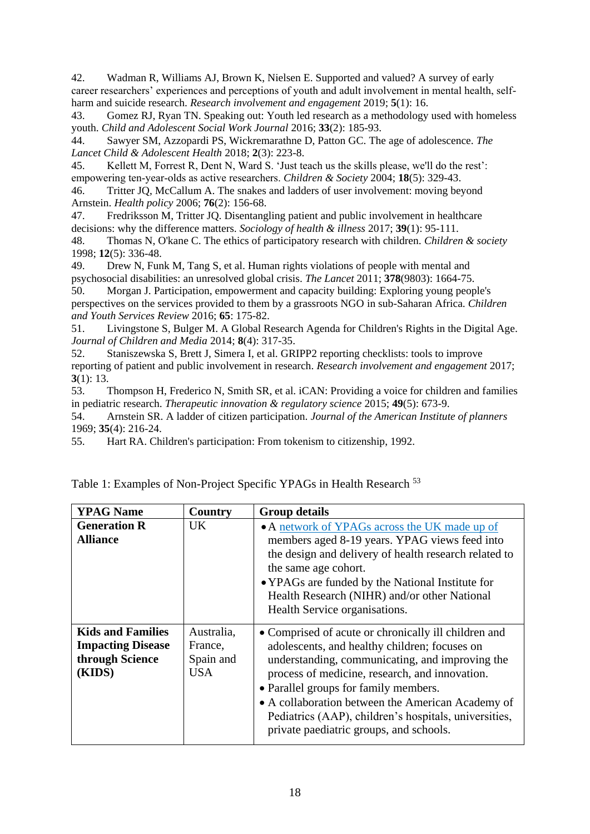42. Wadman R, Williams AJ, Brown K, Nielsen E. Supported and valued? A survey of early career researchers' experiences and perceptions of youth and adult involvement in mental health, selfharm and suicide research. *Research involvement and engagement* 2019; **5**(1): 16.

43. Gomez RJ, Ryan TN. Speaking out: Youth led research as a methodology used with homeless youth. *Child and Adolescent Social Work Journal* 2016; **33**(2): 185-93.

44. Sawyer SM, Azzopardi PS, Wickremarathne D, Patton GC. The age of adolescence. *The Lancet Child & Adolescent Health* 2018; **2**(3): 223-8.

45. Kellett M, Forrest R, Dent N, Ward S. 'Just teach us the skills please, we'll do the rest': empowering ten‐year‐olds as active researchers. *Children & Society* 2004; **18**(5): 329-43.

46. Tritter JQ, McCallum A. The snakes and ladders of user involvement: moving beyond Arnstein. *Health policy* 2006; **76**(2): 156-68.

47. Fredriksson M, Tritter JQ. Disentangling patient and public involvement in healthcare decisions: why the difference matters. *Sociology of health & illness* 2017; **39**(1): 95-111.

48. Thomas N, O'kane C. The ethics of participatory research with children. *Children & society* 1998; **12**(5): 336-48.

49. Drew N, Funk M, Tang S, et al. Human rights violations of people with mental and psychosocial disabilities: an unresolved global crisis. *The Lancet* 2011; **378**(9803): 1664-75.

50. Morgan J. Participation, empowerment and capacity building: Exploring young people's perspectives on the services provided to them by a grassroots NGO in sub-Saharan Africa. *Children and Youth Services Review* 2016; **65**: 175-82.

51. Livingstone S, Bulger M. A Global Research Agenda for Children's Rights in the Digital Age. *Journal of Children and Media* 2014; **8**(4): 317-35.

52. Staniszewska S, Brett J, Simera I, et al. GRIPP2 reporting checklists: tools to improve reporting of patient and public involvement in research. *Research involvement and engagement* 2017; **3**(1): 13.

53. Thompson H, Frederico N, Smith SR, et al. iCAN: Providing a voice for children and families in pediatric research. *Therapeutic innovation & regulatory science* 2015; **49**(5): 673-9.

54. Arnstein SR. A ladder of citizen participation. *Journal of the American Institute of planners* 1969; **35**(4): 216-24.

55. Hart RA. Children's participation: From tokenism to citizenship, 1992.

| <b>YPAG Name</b>                                                                  | Country                                   | <b>Group details</b>                                                                                                                                                                                                                                                                                                                                                                                         |
|-----------------------------------------------------------------------------------|-------------------------------------------|--------------------------------------------------------------------------------------------------------------------------------------------------------------------------------------------------------------------------------------------------------------------------------------------------------------------------------------------------------------------------------------------------------------|
| <b>Generation R</b><br><b>Alliance</b>                                            | UK                                        | • A network of YPAGs across the UK made up of<br>members aged 8-19 years. YPAG views feed into<br>the design and delivery of health research related to<br>the same age cohort.<br>• YPAGs are funded by the National Institute for<br>Health Research (NIHR) and/or other National<br>Health Service organisations.                                                                                         |
| <b>Kids and Families</b><br><b>Impacting Disease</b><br>through Science<br>(KIDS) | Australia.<br>France,<br>Spain and<br>USA | • Comprised of acute or chronically ill children and<br>adolescents, and healthy children; focuses on<br>understanding, communicating, and improving the<br>process of medicine, research, and innovation.<br>• Parallel groups for family members.<br>• A collaboration between the American Academy of<br>Pediatrics (AAP), children's hospitals, universities,<br>private paediatric groups, and schools. |

Table 1: Examples of Non-Project Specific YPAGs in Health Research <sup>53</sup>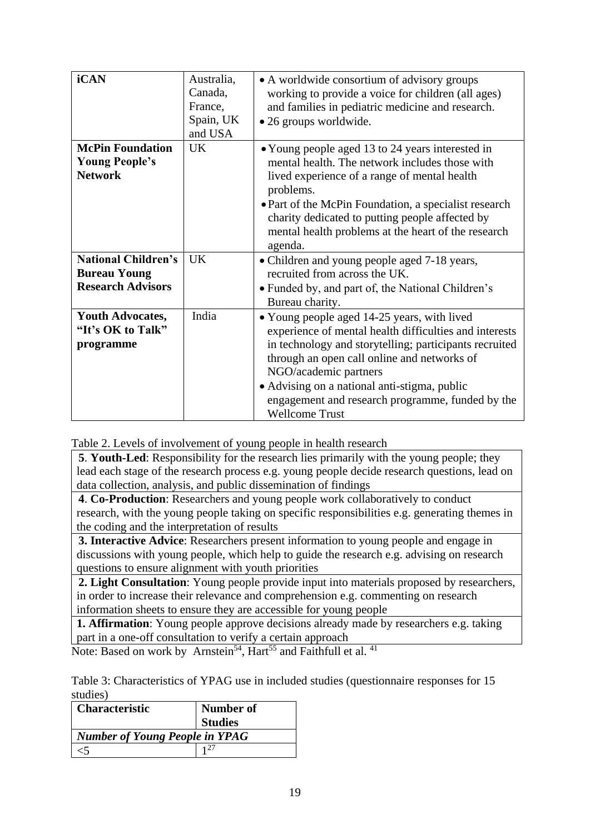| iCAN                                                                          | Australia,<br>Canada,<br>France,<br>Spain, UK<br>and USA | • A worldwide consortium of advisory groups<br>working to provide a voice for children (all ages)<br>and families in pediatric medicine and research.<br>• 26 groups worldwide.                                                                                                                                                                                      |
|-------------------------------------------------------------------------------|----------------------------------------------------------|----------------------------------------------------------------------------------------------------------------------------------------------------------------------------------------------------------------------------------------------------------------------------------------------------------------------------------------------------------------------|
| <b>McPin Foundation</b><br><b>Young People's</b><br><b>Network</b>            | <b>UK</b>                                                | • Young people aged 13 to 24 years interested in<br>mental health. The network includes those with<br>lived experience of a range of mental health<br>problems.<br>• Part of the McPin Foundation, a specialist research<br>charity dedicated to putting people affected by<br>mental health problems at the heart of the research<br>agenda.                        |
| <b>National Children's</b><br><b>Bureau Young</b><br><b>Research Advisors</b> | <b>UK</b>                                                | • Children and young people aged 7-18 years,<br>recruited from across the UK.<br>• Funded by, and part of, the National Children's<br>Bureau charity.                                                                                                                                                                                                                |
| <b>Youth Advocates,</b><br>"It's OK to Talk"<br>programme                     | India                                                    | • Young people aged 14-25 years, with lived<br>experience of mental health difficulties and interests<br>in technology and storytelling; participants recruited<br>through an open call online and networks of<br>NGO/academic partners<br>• Advising on a national anti-stigma, public<br>engagement and research programme, funded by the<br><b>Wellcome Trust</b> |

Table 2. Levels of involvement of young people in health research

**5**. **Youth-Led**: Responsibility for the research lies primarily with the young people; they lead each stage of the research process e.g. young people decide research questions, lead on data collection, analysis, and public dissemination of findings

**4**. **Co-Production**: Researchers and young people work collaboratively to conduct research, with the young people taking on specific responsibilities e.g. generating themes in the coding and the interpretation of results

**3. Interactive Advice**: Researchers present information to young people and engage in discussions with young people, which help to guide the research e.g. advising on research questions to ensure alignment with youth priorities

**2. Light Consultation**: Young people provide input into materials proposed by researchers, in order to increase their relevance and comprehension e.g. commenting on research information sheets to ensure they are accessible for young people

**1. Affirmation**: Young people approve decisions already made by researchers e.g. taking part in a one-off consultation to verify a certain approach

Note: Based on work by Arnstein<sup>54</sup>, Hart<sup>55</sup> and Faithfull et al.<sup>41</sup>

Table 3: Characteristics of YPAG use in included studies (questionnaire responses for 15 studies)

| <b>Characteristic</b>                 | Number of      |  |
|---------------------------------------|----------------|--|
|                                       | <b>Studies</b> |  |
| <b>Number of Young People in YPAG</b> |                |  |
|                                       |                |  |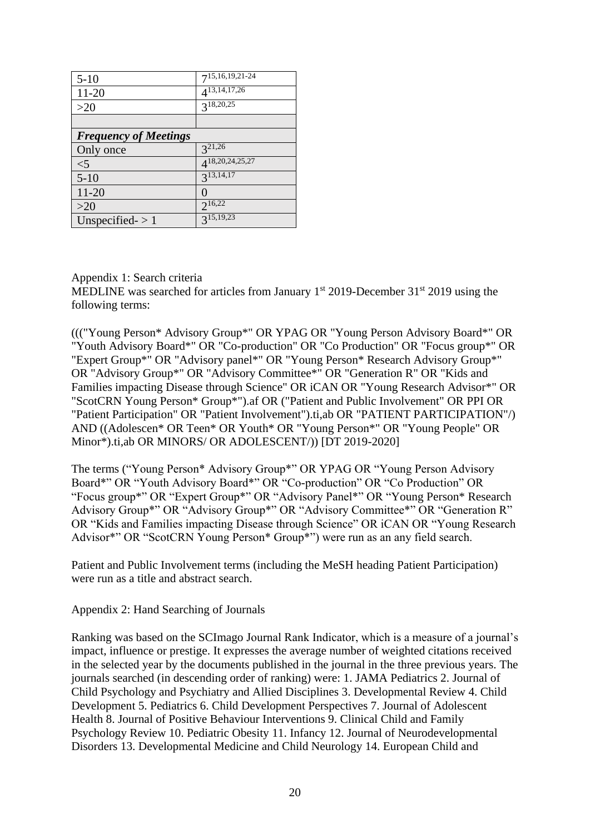| $5-10$                       | $7^{15,16,\overline{19,21-24}}$ |
|------------------------------|---------------------------------|
| 11-20                        | $4^{13,14,17,26}$               |
| >20                          | $3^{18,20,25}$                  |
|                              |                                 |
| <b>Frequency of Meetings</b> |                                 |
| Only once                    | $3^{21,26}$                     |
| $<$ 5                        | $4^{18,20,\overline{24},25,27}$ |
| $5 - 10$                     | $3^{13,\overline{14,17}}$       |
| 11-20                        | $\mathcal{O}$                   |
| >20                          | $2^{16,22}$                     |
| Unspecified $\geq 1$         | $3^{15,19,23}$                  |

# Appendix 1: Search criteria

MEDLINE was searched for articles from January  $1<sup>st</sup>$  2019-December 31 $<sup>st</sup>$  2019 using the</sup> following terms:

((("Young Person\* Advisory Group\*" OR YPAG OR "Young Person Advisory Board\*" OR "Youth Advisory Board\*" OR "Co-production" OR "Co Production" OR "Focus group\*" OR "Expert Group\*" OR "Advisory panel\*" OR "Young Person\* Research Advisory Group\*" OR "Advisory Group\*" OR "Advisory Committee\*" OR "Generation R" OR "Kids and Families impacting Disease through Science" OR iCAN OR "Young Research Advisor\*" OR "ScotCRN Young Person\* Group\*").af OR ("Patient and Public Involvement" OR PPI OR "Patient Participation" OR "Patient Involvement").ti,ab OR "PATIENT PARTICIPATION"/) AND ((Adolescen\* OR Teen\* OR Youth\* OR "Young Person\*" OR "Young People" OR Minor\*).ti,ab OR MINORS/ OR ADOLESCENT/)) [DT 2019-2020]

The terms ("Young Person\* Advisory Group\*" OR YPAG OR "Young Person Advisory Board\*" OR "Youth Advisory Board\*" OR "Co-production" OR "Co Production" OR "Focus group\*" OR "Expert Group\*" OR "Advisory Panel\*" OR "Young Person\* Research Advisory Group\*" OR "Advisory Group\*" OR "Advisory Committee\*" OR "Generation R" OR "Kids and Families impacting Disease through Science" OR iCAN OR "Young Research Advisor\*" OR "ScotCRN Young Person\* Group\*") were run as an any field search.

Patient and Public Involvement terms (including the MeSH heading Patient Participation) were run as a title and abstract search.

Appendix 2: Hand Searching of Journals

Ranking was based on the SCImago Journal Rank Indicator, which is a measure of a journal's impact, influence or prestige. It expresses the average number of weighted citations received in the selected year by the documents published in the journal in the three previous years. The journals searched (in descending order of ranking) were: 1. JAMA Pediatrics 2. Journal of Child Psychology and Psychiatry and Allied Disciplines 3. Developmental Review 4. Child Development 5. Pediatrics 6. Child Development Perspectives 7. Journal of Adolescent Health 8. Journal of Positive Behaviour Interventions 9. Clinical Child and Family Psychology Review 10. Pediatric Obesity 11. Infancy 12. Journal of Neurodevelopmental Disorders 13. Developmental Medicine and Child Neurology 14. European Child and